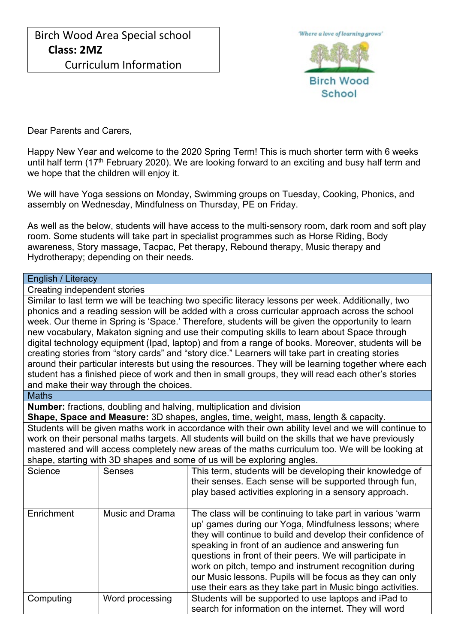

Dear Parents and Carers,

Happy New Year and welcome to the 2020 Spring Term! This is much shorter term with 6 weeks until half term (17<sup>th</sup> February 2020). We are looking forward to an exciting and busy half term and we hope that the children will enjoy it.

We will have Yoga sessions on Monday, Swimming groups on Tuesday, Cooking, Phonics, and assembly on Wednesday, Mindfulness on Thursday, PE on Friday.

As well as the below, students will have access to the multi-sensory room, dark room and soft play room. Some students will take part in specialist programmes such as Horse Riding, Body awareness, Story massage, Tacpac, Pet therapy, Rebound therapy, Music therapy and Hydrotherapy; depending on their needs.

## English / Literacy

Creating independent stories

Similar to last term we will be teaching two specific literacy lessons per week. Additionally, two phonics and a reading session will be added with a cross curricular approach across the school week. Our theme in Spring is 'Space.' Therefore, students will be given the opportunity to learn new vocabulary, Makaton signing and use their computing skills to learn about Space through digital technology equipment (Ipad, laptop) and from a range of books. Moreover, students will be creating stories from "story cards" and "story dice." Learners will take part in creating stories around their particular interests but using the resources. They will be learning together where each student has a finished piece of work and then in small groups, they will read each other's stories and make their way through the choices.

**Maths** 

**Number:** fractions, doubling and halving, multiplication and division

**Shape, Space and Measure:** 3D shapes, angles, time, weight, mass, length & capacity.

Students will be given maths work in accordance with their own ability level and we will continue to work on their personal maths targets. All students will build on the skills that we have previously mastered and will access completely new areas of the maths curriculum too. We will be looking at shape, starting with 3D shapes and some of us will be exploring angles.

| Science    | <b>Senses</b>          | This term, students will be developing their knowledge of<br>their senses. Each sense will be supported through fun,<br>play based activities exploring in a sensory approach.                                                                                                                                                                                                                                                                                                             |  |
|------------|------------------------|--------------------------------------------------------------------------------------------------------------------------------------------------------------------------------------------------------------------------------------------------------------------------------------------------------------------------------------------------------------------------------------------------------------------------------------------------------------------------------------------|--|
| Enrichment | <b>Music and Drama</b> | The class will be continuing to take part in various 'warm<br>up' games during our Yoga, Mindfulness lessons; where<br>they will continue to build and develop their confidence of<br>speaking in front of an audience and answering fun<br>questions in front of their peers. We will participate in<br>work on pitch, tempo and instrument recognition during<br>our Music lessons. Pupils will be focus as they can only<br>use their ears as they take part in Music bingo activities. |  |
| Computing  | Word processing        | Students will be supported to use laptops and iPad to<br>search for information on the internet. They will word                                                                                                                                                                                                                                                                                                                                                                            |  |